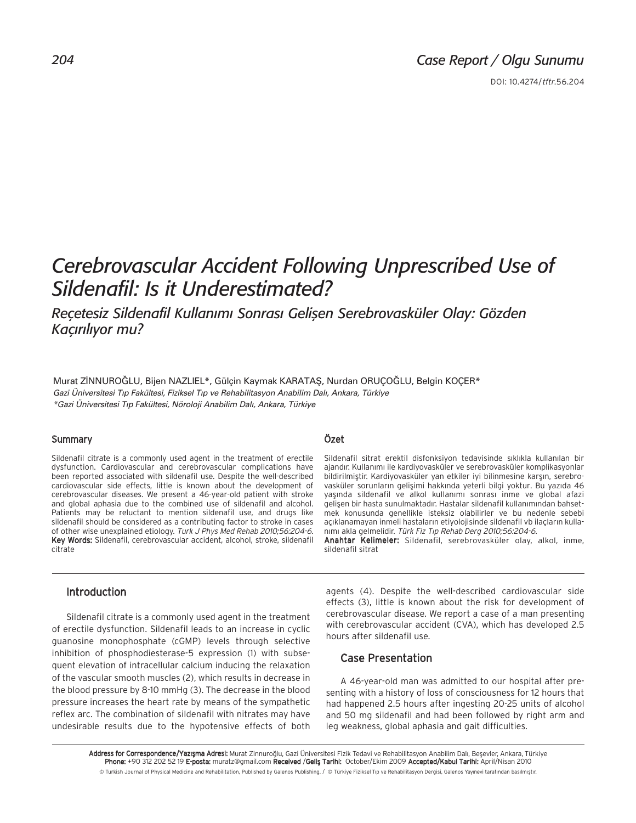DOI: 10.4274/tftr.56.204

# *Cerebrovascular Accident Following Unprescribed Use of Sildenafil: Is it Underestimated?*

**Reçetesiz Sildenafil Kullanımı Sonrası Gelişen Serebrovasküler Olay: Gözden** Kaçırılıyor mu?

Murat ZİNNUROĞLU, Bijen NAZLIEL\*, Gülcin Kaymak KARATAS, Nurdan ORUÇOĞLU, Belgin KOÇER\* *Gazi Üniversitesi T›p Fakültesi, Fiziksel T›p ve Rehabilitasyon Anabilim Dal›, Ankara, Türkiye \*Gazi Üniversitesi T›p Fakültesi, Nöroloji Anabilim Dal›, Ankara, Türkiye*

#### Summary

Sildenafil citrate is a commonly used agent in the treatment of erectile dysfunction. Cardiovascular and cerebrovascular complications have been reported associated with sildenafil use. Despite the well-described cardiovascular side effects, little is known about the development of cerebrovascular diseases. We present a 46-year-old patient with stroke and global aphasia due to the combined use of sildenafil and alcohol. Patients may be reluctant to mention sildenafil use, and drugs like sildenafil should be considered as a contributing factor to stroke in cases of other wise unexplained etiology. Turk J Phys Med Rehab 2010;56:204-6. Key Words: Sildenafil, cerebrovascular accident, alcohol, stroke, sildenafil citrate

## Özet

Sildenafil sitrat erektil disfonksiyon tedavisinde sıklıkla kullanılan bir ajandır. Kullanımı ile kardiyovasküler ve serebrovasküler komplikasyonlar bildirilmiştir. Kardiyovasküler yan etkiler iyi bilinmesine karşın, serebrovasküler sorunların gelişimi hakkında yeterli bilgi yoktur. Bu yazıda 46 yaşında sildenafil ve alkol kullanımı sonrası inme ve global afazi gelişen bir hasta sunulmaktadır. Hastalar sildenafil kullanımından bahsetmek konusunda genellikle isteksiz olabilirler ve bu nedenle sebebi açıklanamayan inmeli hastaların etiyolojisinde sildenafil vb ilaçların kullanımı akla gelmelidir. Türk Fiz Tıp Rehab Derg 2010;56:204-6.

Anahtar Kelimeler: Sildenafil, serebrovasküler olay, alkol, inme, sildenafil sitrat

#### Introduction

Sildenafil citrate is a commonly used agent in the treatment of erectile dysfunction. Sildenafil leads to an increase in cyclic guanosine monophosphate (cGMP) levels through selective inhibition of phosphodiesterase-5 expression (1) with subsequent elevation of intracellular calcium inducing the relaxation of the vascular smooth muscles (2), which results in decrease in the blood pressure by 8-10 mmHg (3). The decrease in the blood pressure increases the heart rate by means of the sympathetic reflex arc. The combination of sildenafil with nitrates may have undesirable results due to the hypotensive effects of both

agents (4). Despite the well-described cardiovascular side effects (3), little is known about the risk for development of cerebrovascular disease. We report a case of a man presenting with cerebrovascular accident (CVA), which has developed 2.5 hours after sildenafil use.

### Case Presentation

A 46-year-old man was admitted to our hospital after presenting with a history of loss of consciousness for 12 hours that had happened 2.5 hours after ingesting 20-25 units of alcohol and 50 mg sildenafil and had been followed by right arm and leg weakness, global aphasia and gait difficulties.

Address for Correspondence/Yazışma Adresi: Murat Zinnuroğlu, Gazi Üniversitesi Fizik Tedavi ve Rehabilitasyon Anabilim Dalı, Beşevler, Ankara, Türkiye Phone: +90 312 202 52 19 E-posta: muratz@gmail.com Received /Geliş Tarihi: October/Ekim 2009 Accepted/Kabul Tarihi: April/Nisan 2010 © Turkish Journal of Physical Medicine and Rehabilitation, Published by Galenos Publishing. / © Türkiye Fiziksel Tıp ve Rehabilitasyon Dergisi, Galenos Yayınevi tarafından basılmıştır.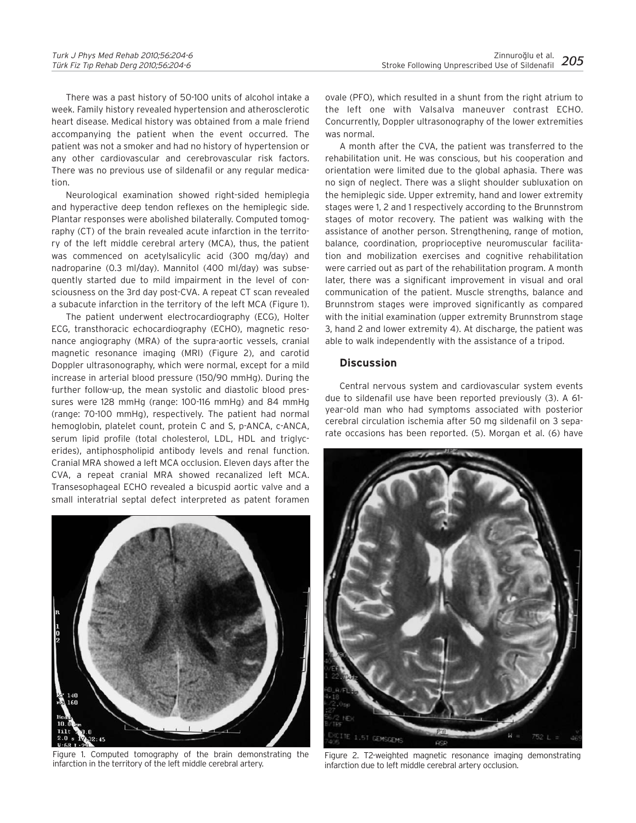There was a past history of 50-100 units of alcohol intake a week. Family history revealed hypertension and atherosclerotic heart disease. Medical history was obtained from a male friend accompanying the patient when the event occurred. The patient was not a smoker and had no history of hypertension or any other cardiovascular and cerebrovascular risk factors. There was no previous use of sildenafil or any regular medication.

Neurological examination showed right-sided hemiplegia and hyperactive deep tendon reflexes on the hemiplegic side. Plantar responses were abolished bilaterally. Computed tomography (CT) of the brain revealed acute infarction in the territory of the left middle cerebral artery (MCA), thus, the patient was commenced on acetylsalicylic acid (300 mg/day) and nadroparine (0.3 ml/day). Mannitol (400 ml/day) was subsequently started due to mild impairment in the level of consciousness on the 3rd day post-CVA. A repeat CT scan revealed a subacute infarction in the territory of the left MCA (Figure 1).

The patient underwent electrocardiography (ECG), Holter ECG, transthoracic echocardiography (ECHO), magnetic resonance angiography (MRA) of the supra-aortic vessels, cranial magnetic resonance imaging (MRI) (Figure 2), and carotid Doppler ultrasonography, which were normal, except for a mild increase in arterial blood pressure (150/90 mmHg). During the further follow-up, the mean systolic and diastolic blood pressures were 128 mmHg (range: 100-116 mmHg) and 84 mmHg (range: 70-100 mmHg), respectively. The patient had normal hemoglobin, platelet count, protein C and S, p-ANCA, c-ANCA, serum lipid profile (total cholesterol, LDL, HDL and triglycerides), antiphospholipid antibody levels and renal function. Cranial MRA showed a left MCA occlusion. Eleven days after the CVA, a repeat cranial MRA showed recanalized left MCA. Transesophageal ECHO revealed a bicuspid aortic valve and a small interatrial septal defect interpreted as patent foramen



Figure 1. Computed tomography of the brain demonstrating the infarction in the territory of the left middle cerebral artery.

ovale (PFO), which resulted in a shunt from the right atrium to the left one with Valsalva maneuver contrast ECHO. Concurrently, Doppler ultrasonography of the lower extremities was normal.

A month after the CVA, the patient was transferred to the rehabilitation unit. He was conscious, but his cooperation and orientation were limited due to the global aphasia. There was no sign of neglect. There was a slight shoulder subluxation on the hemiplegic side. Upper extremity, hand and lower extremity stages were 1, 2 and 1 respectively according to the Brunnstrom stages of motor recovery. The patient was walking with the assistance of another person. Strengthening, range of motion, balance, coordination, proprioceptive neuromuscular facilitation and mobilization exercises and cognitive rehabilitation were carried out as part of the rehabilitation program. A month later, there was a significant improvement in visual and oral communication of the patient. Muscle strengths, balance and Brunnstrom stages were improved significantly as compared with the initial examination (upper extremity Brunnstrom stage 3, hand 2 and lower extremity 4). At discharge, the patient was able to walk independently with the assistance of a tripod.

#### **Discussion**

Central nervous system and cardiovascular system events due to sildenafil use have been reported previously (3). A 61 year-old man who had symptoms associated with posterior cerebral circulation ischemia after 50 mg sildenafil on 3 separate occasions has been reported. (5). Morgan et al. (6) have



Figure 2. T2-weighted magnetic resonance imaging demonstrating infarction due to left middle cerebral artery occlusion.